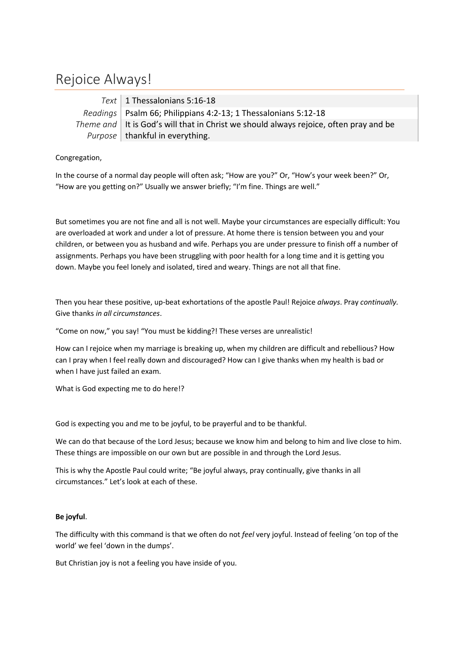## Rejoice Always!

*Text* 1 Thessalonians 5:16-18 *Readings* | Psalm 66; Philippians 4:2-13; 1 Thessalonians 5:12-18 *Theme and* It is God's will that in Christ we should always rejoice, often pray and be Purpose | thankful in everything.

Congregation,

In the course of a normal day people will often ask; "How are you?" Or, "How's your week been?" Or, "How are you getting on?" Usually we answer briefly; "I'm fine. Things are well."

But sometimes you are not fine and all is not well. Maybe your circumstances are especially difficult: You are overloaded at work and under a lot of pressure. At home there is tension between you and your children, or between you as husband and wife. Perhaps you are under pressure to finish off a number of assignments. Perhaps you have been struggling with poor health for a long time and it is getting you down. Maybe you feel lonely and isolated, tired and weary. Things are not all that fine.

Then you hear these positive, up-beat exhortations of the apostle Paul! Rejoice *always*. Pray *continually.* Give thanks *in all circumstances*.

"Come on now," you say! "You must be kidding?! These verses are unrealistic!

How can I rejoice when my marriage is breaking up, when my children are difficult and rebellious? How can I pray when I feel really down and discouraged? How can I give thanks when my health is bad or when I have just failed an exam.

What is God expecting me to do here!?

God is expecting you and me to be joyful, to be prayerful and to be thankful.

We can do that because of the Lord Jesus; because we know him and belong to him and live close to him. These things are impossible on our own but are possible in and through the Lord Jesus.

This is why the Apostle Paul could write; "Be joyful always, pray continually, give thanks in all circumstances." Let's look at each of these.

## **Be joyful**.

The difficulty with this command is that we often do not *feel* very joyful. Instead of feeling 'on top of the world' we feel 'down in the dumps'.

But Christian joy is not a feeling you have inside of you.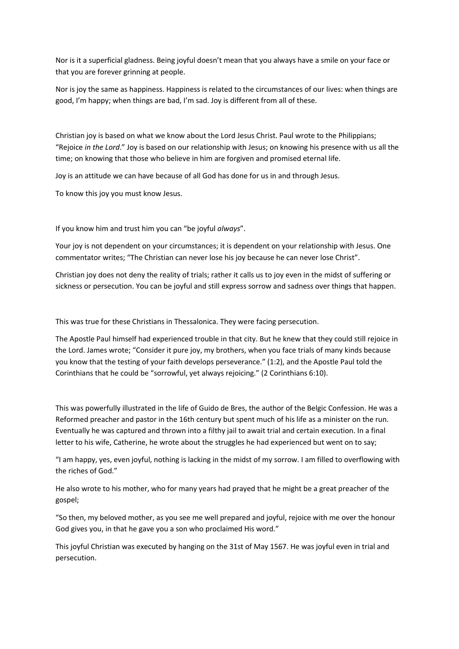Nor is it a superficial gladness. Being joyful doesn't mean that you always have a smile on your face or that you are forever grinning at people.

Nor is joy the same as happiness. Happiness is related to the circumstances of our lives: when things are good, I'm happy; when things are bad, I'm sad. Joy is different from all of these.

Christian joy is based on what we know about the Lord Jesus Christ. Paul wrote to the Philippians; "Rejoice *in the Lord*." Joy is based on our relationship with Jesus; on knowing his presence with us all the time; on knowing that those who believe in him are forgiven and promised eternal life.

Joy is an attitude we can have because of all God has done for us in and through Jesus.

To know this joy you must know Jesus.

If you know him and trust him you can "be joyful *always*".

Your joy is not dependent on your circumstances; it is dependent on your relationship with Jesus. One commentator writes; "The Christian can never lose his joy because he can never lose Christ".

Christian joy does not deny the reality of trials; rather it calls us to joy even in the midst of suffering or sickness or persecution. You can be joyful and still express sorrow and sadness over things that happen.

This was true for these Christians in Thessalonica. They were facing persecution.

The Apostle Paul himself had experienced trouble in that city. But he knew that they could still rejoice in the Lord. James wrote; "Consider it pure joy, my brothers, when you face trials of many kinds because you know that the testing of your faith develops perseverance." (1:2), and the Apostle Paul told the Corinthians that he could be "sorrowful, yet always rejoicing." (2 Corinthians 6:10).

This was powerfully illustrated in the life of Guido de Bres, the author of the Belgic Confession. He was a Reformed preacher and pastor in the 16th century but spent much of his life as a minister on the run. Eventually he was captured and thrown into a filthy jail to await trial and certain execution. In a final letter to his wife, Catherine, he wrote about the struggles he had experienced but went on to say;

"I am happy, yes, even joyful, nothing is lacking in the midst of my sorrow. I am filled to overflowing with the riches of God."

He also wrote to his mother, who for many years had prayed that he might be a great preacher of the gospel;

"So then, my beloved mother, as you see me well prepared and joyful, rejoice with me over the honour God gives you, in that he gave you a son who proclaimed His word."

This joyful Christian was executed by hanging on the 31st of May 1567. He was joyful even in trial and persecution.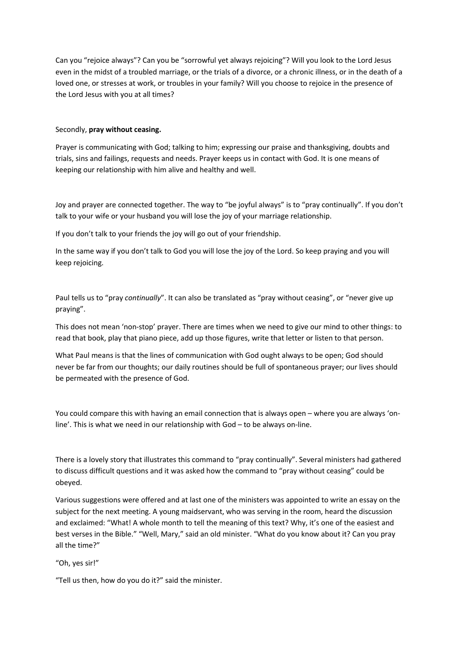Can you "rejoice always"? Can you be "sorrowful yet always rejoicing"? Will you look to the Lord Jesus even in the midst of a troubled marriage, or the trials of a divorce, or a chronic illness, or in the death of a loved one, or stresses at work, or troubles in your family? Will you choose to rejoice in the presence of the Lord Jesus with you at all times?

## Secondly, **pray without ceasing.**

Prayer is communicating with God; talking to him; expressing our praise and thanksgiving, doubts and trials, sins and failings, requests and needs. Prayer keeps us in contact with God. It is one means of keeping our relationship with him alive and healthy and well.

Joy and prayer are connected together. The way to "be joyful always" is to "pray continually". If you don't talk to your wife or your husband you will lose the joy of your marriage relationship.

If you don't talk to your friends the joy will go out of your friendship.

In the same way if you don't talk to God you will lose the joy of the Lord. So keep praying and you will keep rejoicing.

Paul tells us to "pray *continually*". It can also be translated as "pray without ceasing", or "never give up praying".

This does not mean 'non-stop' prayer. There are times when we need to give our mind to other things: to read that book, play that piano piece, add up those figures, write that letter or listen to that person.

What Paul means is that the lines of communication with God ought always to be open; God should never be far from our thoughts; our daily routines should be full of spontaneous prayer; our lives should be permeated with the presence of God.

You could compare this with having an email connection that is always open – where you are always 'online'. This is what we need in our relationship with God – to be always on-line.

There is a lovely story that illustrates this command to "pray continually". Several ministers had gathered to discuss difficult questions and it was asked how the command to "pray without ceasing" could be obeyed.

Various suggestions were offered and at last one of the ministers was appointed to write an essay on the subject for the next meeting. A young maidservant, who was serving in the room, heard the discussion and exclaimed: "What! A whole month to tell the meaning of this text? Why, it's one of the easiest and best verses in the Bible." "Well, Mary," said an old minister. "What do you know about it? Can you pray all the time?"

"Oh, yes sir!"

"Tell us then, how do you do it?" said the minister.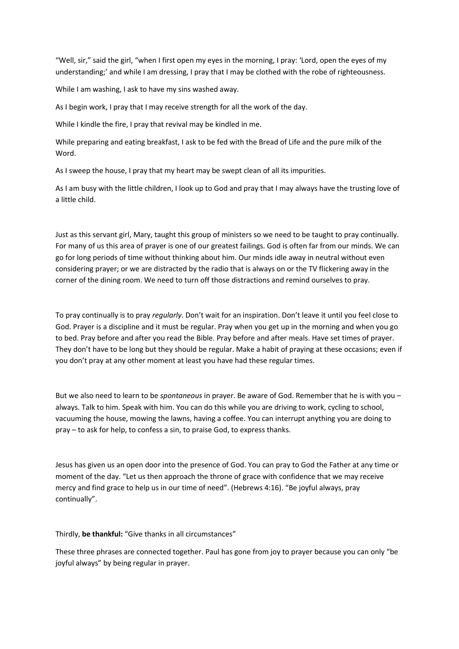"Well, sir," said the girl, "when I first open my eyes in the morning, I pray: 'Lord, open the eyes of my understanding;' and while I am dressing, I pray that I may be clothed with the robe of righteousness.

While I am washing, I ask to have my sins washed away.

As I begin work, I pray that I may receive strength for all the work of the day.

While I kindle the fire, I pray that revival may be kindled in me.

While preparing and eating breakfast, I ask to be fed with the Bread of Life and the pure milk of the Word.

As I sweep the house, I pray that my heart may be swept clean of all its impurities.

As I am busy with the little children, I look up to God and pray that I may always have the trusting love of a little child.

Just as this servant girl, Mary, taught this group of ministers so we need to be taught to pray continually. For many of us this area of prayer is one of our greatest failings. God is often far from our minds. We can go for long periods of time without thinking about him. Our minds idle away in neutral without even considering prayer; or we are distracted by the radio that is always on or the TV flickering away in the corner of the dining room. We need to turn off those distractions and remind ourselves to pray.

To pray continually is to pray *regularly*. Don't wait for an inspiration. Don't leave it until you feel close to God. Prayer is a discipline and it must be regular. Pray when you get up in the morning and when you go to bed. Pray before and after you read the Bible. Pray before and after meals. Have set times of prayer. They don't have to be long but they should be regular. Make a habit of praying at these occasions; even if you don't pray at any other moment at least you have had these regular times.

But we also need to learn to be *spontaneous* in prayer. Be aware of God. Remember that he is with you – always. Talk to him. Speak with him. You can do this while you are driving to work, cycling to school, vacuuming the house, mowing the lawns, having a coffee. You can interrupt anything you are doing to pray – to ask for help, to confess a sin, to praise God, to express thanks.

Jesus has given us an open door into the presence of God. You can pray to God the Father at any time or moment of the day. "Let us then approach the throne of grace with confidence that we may receive mercy and find grace to help us in our time of need". (Hebrews 4:16). "Be joyful always, pray continually".

Thirdly, **be thankful:** "Give thanks in all circumstances"

These three phrases are connected together. Paul has gone from joy to prayer because you can only "be joyful always" by being regular in prayer.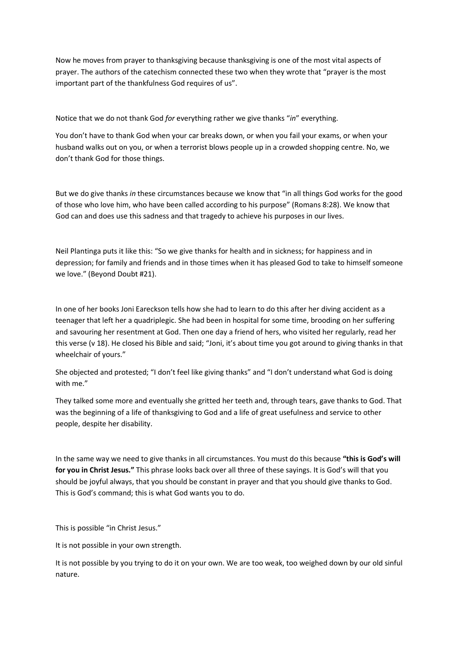Now he moves from prayer to thanksgiving because thanksgiving is one of the most vital aspects of prayer. The authors of the catechism connected these two when they wrote that "prayer is the most important part of the thankfulness God requires of us".

Notice that we do not thank God *for* everything rather we give thanks "*in*" everything.

You don't have to thank God when your car breaks down, or when you fail your exams, or when your husband walks out on you, or when a terrorist blows people up in a crowded shopping centre. No, we don't thank God for those things.

But we do give thanks *in* these circumstances because we know that "in all things God works for the good of those who love him, who have been called according to his purpose" (Romans 8:28). We know that God can and does use this sadness and that tragedy to achieve his purposes in our lives.

Neil Plantinga puts it like this: "So we give thanks for health and in sickness; for happiness and in depression; for family and friends and in those times when it has pleased God to take to himself someone we love." (Beyond Doubt #21).

In one of her books Joni Eareckson tells how she had to learn to do this after her diving accident as a teenager that left her a quadriplegic. She had been in hospital for some time, brooding on her suffering and savouring her resentment at God. Then one day a friend of hers, who visited her regularly, read her this verse (v 18). He closed his Bible and said; "Joni, it's about time you got around to giving thanks in that wheelchair of yours."

She objected and protested; "I don't feel like giving thanks" and "I don't understand what God is doing with me."

They talked some more and eventually she gritted her teeth and, through tears, gave thanks to God. That was the beginning of a life of thanksgiving to God and a life of great usefulness and service to other people, despite her disability.

In the same way we need to give thanks in all circumstances. You must do this because **"this is God's will for you in Christ Jesus."** This phrase looks back over all three of these sayings. It is God's will that you should be joyful always, that you should be constant in prayer and that you should give thanks to God. This is God's command; this is what God wants you to do.

This is possible "in Christ Jesus."

It is not possible in your own strength.

It is not possible by you trying to do it on your own. We are too weak, too weighed down by our old sinful nature.